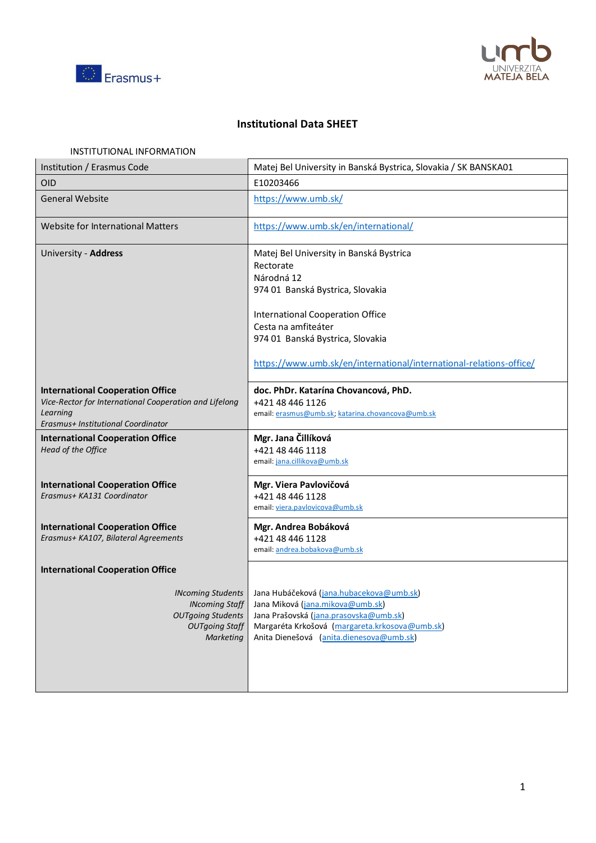



# **Institutional Data SHEET**

| INSTITUTIONAL INFORMATION                                                                                                                           |                                                                                                                                                                                                                                                                              |
|-----------------------------------------------------------------------------------------------------------------------------------------------------|------------------------------------------------------------------------------------------------------------------------------------------------------------------------------------------------------------------------------------------------------------------------------|
| Institution / Erasmus Code                                                                                                                          | Matej Bel University in Banská Bystrica, Slovakia / SK BANSKA01                                                                                                                                                                                                              |
| <b>OID</b>                                                                                                                                          | E10203466                                                                                                                                                                                                                                                                    |
| <b>General Website</b>                                                                                                                              | https://www.umb.sk/                                                                                                                                                                                                                                                          |
| Website for International Matters                                                                                                                   | https://www.umb.sk/en/international/                                                                                                                                                                                                                                         |
| University - Address                                                                                                                                | Matej Bel University in Banská Bystrica<br>Rectorate<br>Národná 12<br>974 01 Banská Bystrica, Slovakia<br>International Cooperation Office<br>Cesta na amfiteáter<br>974 01 Banská Bystrica, Slovakia<br>https://www.umb.sk/en/international/international-relations-office/ |
| <b>International Cooperation Office</b><br>Vice-Rector for International Cooperation and Lifelong<br>Learning<br>Erasmus+ Institutional Coordinator | doc. PhDr. Katarína Chovancová, PhD.<br>+421 48 446 1126<br>email: erasmus@umb.sk; katarina.chovancova@umb.sk                                                                                                                                                                |
| <b>International Cooperation Office</b><br>Head of the Office                                                                                       | Mgr. Jana Čillíková<br>+421 48 446 1118<br>email: jana.cillikova@umb.sk                                                                                                                                                                                                      |
| <b>International Cooperation Office</b><br>Erasmus+ KA131 Coordinator                                                                               | Mgr. Viera Pavlovičová<br>+421 48 446 1128<br>email: viera.pavlovicova@umb.sk                                                                                                                                                                                                |
| <b>International Cooperation Office</b><br>Erasmus+ KA107, Bilateral Agreements                                                                     | Mgr. Andrea Bobáková<br>+421 48 446 1128<br>email: andrea.bobakova@umb.sk                                                                                                                                                                                                    |
| <b>International Cooperation Office</b>                                                                                                             |                                                                                                                                                                                                                                                                              |
| <b>INcoming Students</b><br><b>INcoming Staff</b><br><b>OUTgoing Students</b><br><b>OUTgoing Staff</b><br>Marketing                                 | Jana Hubáčeková (jana.hubacekova@umb.sk)<br>Jana Miková (jana.mikova@umb.sk)<br>Jana Prašovská (jana.prasovska@umb.sk)<br>Margaréta Krkošová (margareta.krkosova@umb.sk)<br>Anita Dienešová (anita.dienesova@umb.sk)                                                         |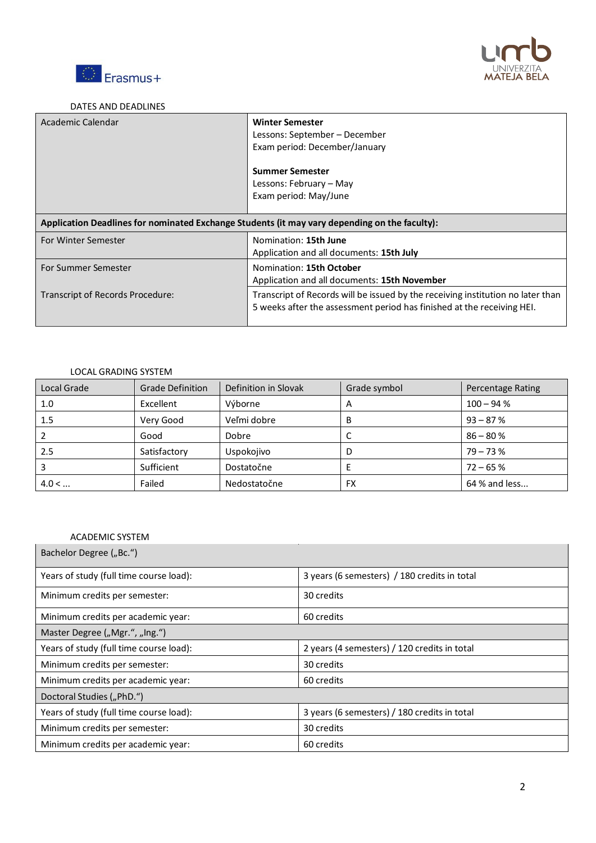



#### DATES AND DEADLINES

| Academic Calendar                                                                             | <b>Winter Semester</b><br>Lessons: September – December<br>Exam period: December/January                                                                  |  |
|-----------------------------------------------------------------------------------------------|-----------------------------------------------------------------------------------------------------------------------------------------------------------|--|
|                                                                                               | <b>Summer Semester</b>                                                                                                                                    |  |
|                                                                                               | Lessons: February – May                                                                                                                                   |  |
|                                                                                               | Exam period: May/June                                                                                                                                     |  |
| Application Deadlines for nominated Exchange Students (it may vary depending on the faculty): |                                                                                                                                                           |  |
| For Winter Semester                                                                           | Nomination: 15th June                                                                                                                                     |  |
|                                                                                               | Application and all documents: 15th July                                                                                                                  |  |
| For Summer Semester                                                                           | Nomination: 15th October                                                                                                                                  |  |
|                                                                                               | Application and all documents: 15th November                                                                                                              |  |
| Transcript of Records Procedure:                                                              | Transcript of Records will be issued by the receiving institution no later than<br>5 weeks after the assessment period has finished at the receiving HEI. |  |

## LOCAL GRADING SYSTEM

| Local Grade | <b>Grade Definition</b> | Definition in Slovak | Grade symbol | Percentage Rating |
|-------------|-------------------------|----------------------|--------------|-------------------|
| 1.0         | Excellent               | Výborne              | A            | $100 - 94%$       |
| 1.5         | Very Good               | Veľmi dobre          | В            | $93 - 87%$        |
|             | Good                    | Dobre                | ◡            | $86 - 80%$        |
| 2.5         | Satisfactory            | Uspokojivo           | D            | $79 - 73%$        |
|             | Sufficient              | Dostatočne           | E            | $72 - 65%$        |
| 4.0 <       | Failed                  | Nedostatočne         | FX           | 64 % and less     |

## ACADEMIC SYSTEM

| Bachelor Degree ("Bc.")                 |                                              |  |  |
|-----------------------------------------|----------------------------------------------|--|--|
| Years of study (full time course load): | 3 years (6 semesters) / 180 credits in total |  |  |
| Minimum credits per semester:           | 30 credits                                   |  |  |
| Minimum credits per academic year:      | 60 credits                                   |  |  |
| Master Degree ("Mgr.", "Ing.")          |                                              |  |  |
| Years of study (full time course load): | 2 years (4 semesters) / 120 credits in total |  |  |
| Minimum credits per semester:           | 30 credits                                   |  |  |
| Minimum credits per academic year:      | 60 credits                                   |  |  |
| Doctoral Studies ("PhD.")               |                                              |  |  |
| Years of study (full time course load): | 3 years (6 semesters) / 180 credits in total |  |  |
| Minimum credits per semester:           | 30 credits                                   |  |  |
| Minimum credits per academic year:      | 60 credits                                   |  |  |